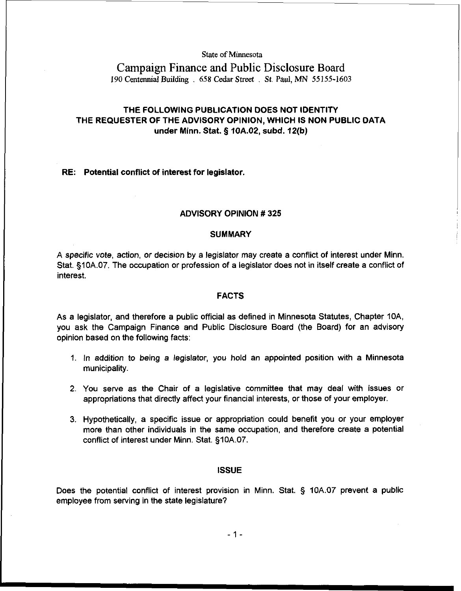**State of Minnesota** 

# **Campaign Finance** and **Public Disclosure Board 190 Centennial Building** . **658 Cedar Street** . **St. Paul,** MN **55155-1603**

## THE FOLLOWING PUBLICATION DOES NOT IDENTITY THE REQUESTER OF THE ADVISORY OPINION, WHICH IS NON PUBLIC DATA under Minn. Stat. § 10A.02, subd. 12(b)

## RE: Potential conflict of interest for legislator.

## ADVISORY OPINION # 325

#### **SUMMARY**

A specific vote, action, or decision by a legislator may create a conflict of interest under Minn. Stat. §10A.07. The occupation or profession of a legislator does not in itself create a conflict of interest.

## FACTS

As a legislator, and therefore a public official as defined in Minnesota Statutes, Chapter IOA, you ask the Campaign Finance and Public Disclosure Board (the Board) for an advisory opinion based on the following facts:

- 1. In addition to being a legislator, you hold an appointed position with a Minnesota municipality.
- 2. You serve as the Chair of a legislative committee that may deal with issues or appropriations that directly affect your financial interests, or those of your employer.
- 3. Hypothetically, a specific issue or appropriation could benefit you or your employer more than other individuals in the same occupation, and therefore create a potential conflict of interest under Minn. Stat. §10A.07.

## ISSUE

Does the potential conflict of interest provision in Minn. Stat. § 10A.07 prevent a public employee from serving in the state legislature?

 $-1-$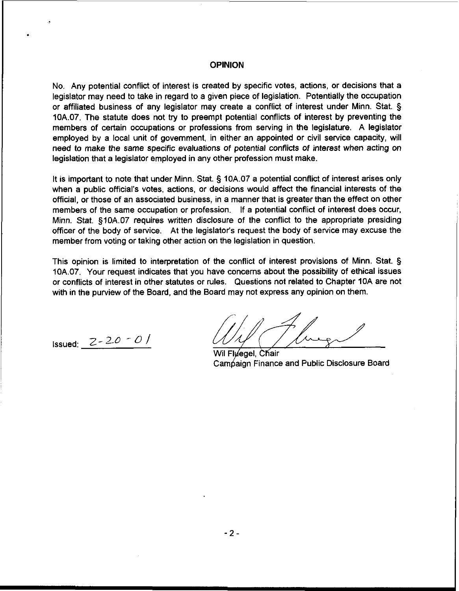## **OPINION**

No. Any potential conflict of interest is created by specific votes, actions, or decisions that a legislator may need to take in regard to a given piece of legislation. Potentially the occupation or affiliated business of any legislator may create a conflict of interest under Minn. Stat. § 10A.07. The statute does not try to preempt potential conflicts of interest by preventing the members of certain occupations or professions from serving in the legislature. A legislator employed by a local unit of government, in either an appointed or civil service capacity, will need to make the same specific evaluations of potential conflicts of interest when acting on legislation that a legislator employed in any other profession must make.

It is important to note that under Minn. Stat. § 10A.07 a potential conflict of interest arises only when a public official's votes, actions, or decisions would affect the financial interests of the official, or those of an associated business, in a manner that is greater than the effect on other members of the same occupation or profession. If a potential conflict of interest does occur, Minn. Stat. 510A.07 requires written disclosure of the conflict to the appropriate presiding officer of the body of service. At the legislator's request the body of sewice may excuse the member from voting or taking other action on the legislation in question.

This opinion is limited to interpretation of the conflict of interest provisions of Minn. Stat. § 10A.07. Your request indicates that you have concerns about the possibility of ethical issues or conflicts of interest in other statutes or rules. Questions not related to Chapter 10A are not with in the purview of the Board, and the Board may not express any opinion on them.

Issued:  $2 - 20 - 0$ 

Wil Fluegel, Chair Campaign Finance and Public Disclosure Board